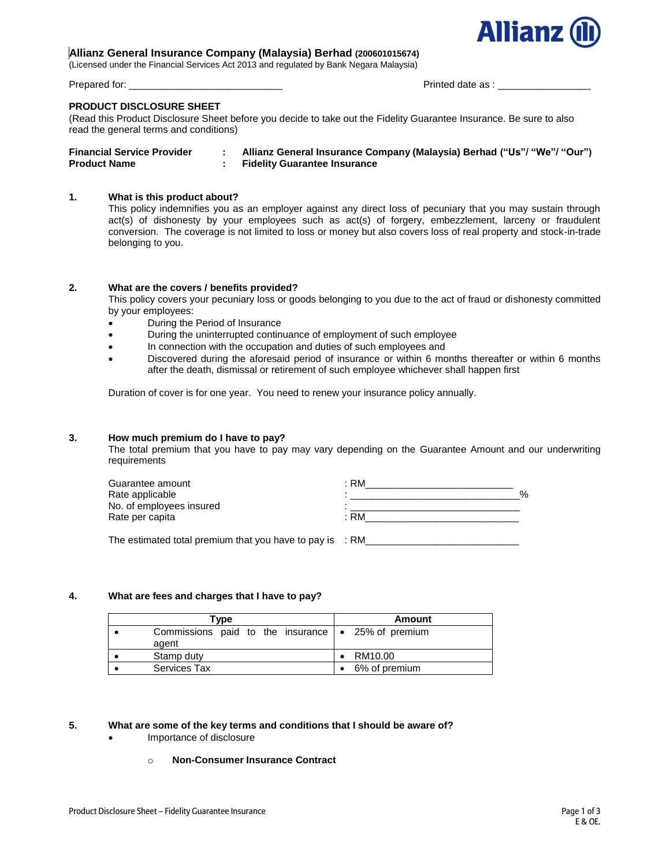

## **Allianz General Insurance Company (Malaysia) Berhad (200601015674)**

(Licensed under the Financial Services Act 2013 and regulated by Bank Negara Malaysia)

Prepared for: \_\_\_\_\_\_\_\_\_\_\_\_\_\_\_\_\_\_\_\_\_\_\_\_\_\_\_\_ Printed date as : \_\_\_\_\_\_\_\_\_\_\_\_\_\_\_\_\_

#### **PRODUCT DISCLOSURE SHEET**

(Read this Product Disclosure Sheet before you decide to take out the Fidelity Guarantee Insurance. Be sure to also read the general terms and conditions)

| <b>Financial Service Provider</b> | Allianz General Insurance Company (Malaysia) Berhad ("Us"/ "We"/ "Our") |
|-----------------------------------|-------------------------------------------------------------------------|
| <b>Product Name</b>               | <b>Fidelity Guarantee Insurance</b>                                     |

## **1. What is this product about?**

This policy indemnifies you as an employer against any direct loss of pecuniary that you may sustain through act(s) of dishonesty by your employees such as act(s) of forgery, embezzlement, larceny or fraudulent conversion. The coverage is not limited to loss or money but also covers loss of real property and stock-in-trade belonging to you.

## **2. What are the covers / benefits provided?**

This policy covers your pecuniary loss or goods belonging to you due to the act of fraud or dishonesty committed by your employees:

- During the Period of Insurance
- During the uninterrupted continuance of employment of such employee
- In connection with the occupation and duties of such employees and
- Discovered during the aforesaid period of insurance or within 6 months thereafter or within 6 months after the death, dismissal or retirement of such employee whichever shall happen first

Duration of cover is for one year. You need to renew your insurance policy annually.

#### **3. How much premium do I have to pay?**

The total premium that you have to pay may vary depending on the Guarantee Amount and our underwriting requirements

| Guarantee amount                                                    | : RM |
|---------------------------------------------------------------------|------|
| Rate applicable                                                     | %    |
| No. of employees insured                                            |      |
| Rate per capita                                                     | : RM |
| The estimated total premium that you have to pay is $\therefore$ RM |      |

#### **4. What are fees and charges that I have to pay?**

| Type                                                             | Amount        |
|------------------------------------------------------------------|---------------|
| Commissions paid to the insurance $\sim$ 25% of premium<br>agent |               |
| Stamp duty                                                       | RM10.00       |
| <b>Services Tax</b>                                              | 6% of premium |

## **5. What are some of the key terms and conditions that I should be aware of?**

- Importance of disclosure
	- o **Non-Consumer Insurance Contract**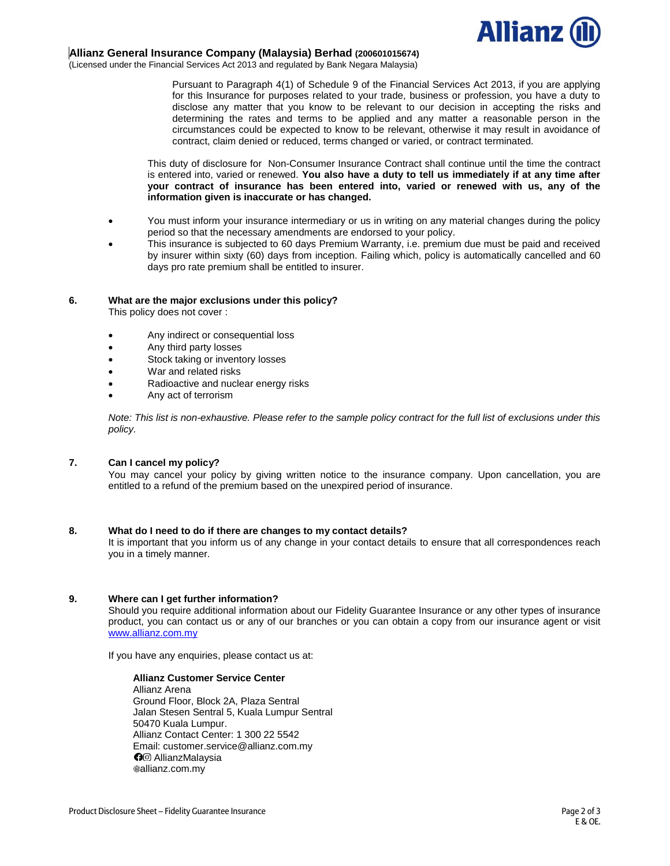

## **Allianz General Insurance Company (Malaysia) Berhad (200601015674)**

(Licensed under the Financial Services Act 2013 and regulated by Bank Negara Malaysia)

Pursuant to Paragraph 4(1) of Schedule 9 of the Financial Services Act 2013, if you are applying for this Insurance for purposes related to your trade, business or profession, you have a duty to disclose any matter that you know to be relevant to our decision in accepting the risks and determining the rates and terms to be applied and any matter a reasonable person in the circumstances could be expected to know to be relevant, otherwise it may result in avoidance of contract, claim denied or reduced, terms changed or varied, or contract terminated.

This duty of disclosure for Non-Consumer Insurance Contract shall continue until the time the contract is entered into, varied or renewed. **You also have a duty to tell us immediately if at any time after your contract of insurance has been entered into, varied or renewed with us, any of the information given is inaccurate or has changed.**

- You must inform your insurance intermediary or us in writing on any material changes during the policy period so that the necessary amendments are endorsed to your policy.
- This insurance is subjected to 60 days Premium Warranty, i.e. premium due must be paid and received by insurer within sixty (60) days from inception. Failing which, policy is automatically cancelled and 60 days pro rate premium shall be entitled to insurer.

## **6. What are the major exclusions under this policy?**

This policy does not cover :

- Any indirect or consequential loss
- Any third party losses
- Stock taking or inventory losses
- War and related risks
- Radioactive and nuclear energy risks
- Any act of terrorism

*Note: This list is non-exhaustive. Please refer to the sample policy contract for the full list of exclusions under this policy.* 

## **7. Can I cancel my policy?**

You may cancel your policy by giving written notice to the insurance company. Upon cancellation, you are entitled to a refund of the premium based on the unexpired period of insurance.

#### **8. What do I need to do if there are changes to my contact details?**

It is important that you inform us of any change in your contact details to ensure that all correspondences reach you in a timely manner.

## **9. Where can I get further information?**

Should you require additional information about our Fidelity Guarantee Insurance or any other types of insurance product, you can contact us or any of our branches or you can obtain a copy from our insurance agent or visit [www.allianz.com.my](http://www.allianz.com.my/)

If you have any enquiries, please contact us at:

#### **Allianz Customer Service Center**

Allianz Arena Ground Floor, Block 2A, Plaza Sentral Jalan Stesen Sentral 5, Kuala Lumpur Sentral 50470 Kuala Lumpur. Allianz Contact Center: 1 300 22 5542 Email: customer.service@allianz.com.my **O**<sup> $\odot$ </sup> AllianzMalaysia allianz.com.my